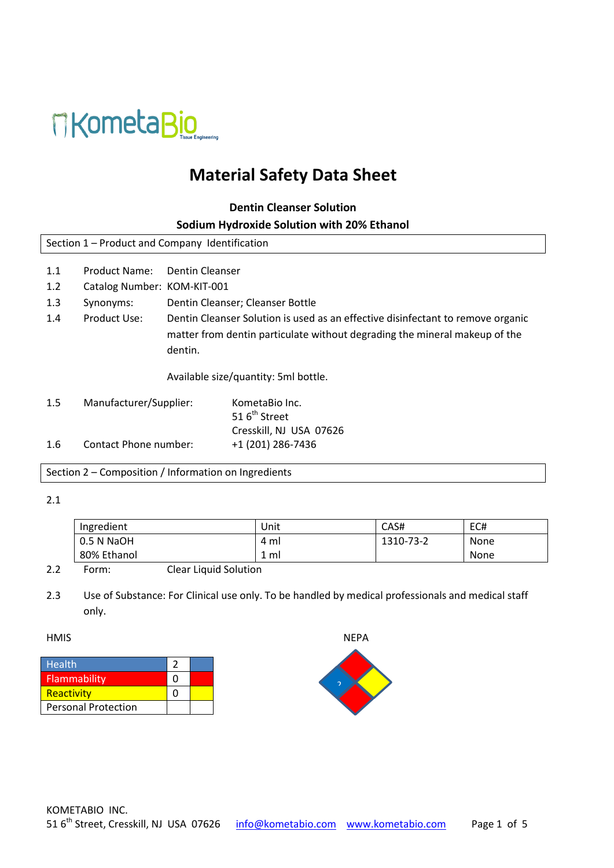

# **Material Safety Data Sheet**

| <b>Dentin Cleanser Solution</b>      |                                                   |                                                                                                                                                                          |                                                                       |  |  |
|--------------------------------------|---------------------------------------------------|--------------------------------------------------------------------------------------------------------------------------------------------------------------------------|-----------------------------------------------------------------------|--|--|
|                                      | <b>Sodium Hydroxide Solution with 20% Ethanol</b> |                                                                                                                                                                          |                                                                       |  |  |
|                                      | Section 1 - Product and Company Identification    |                                                                                                                                                                          |                                                                       |  |  |
| 1.1<br>1.2                           | Product Name:<br>Catalog Number: KOM-KIT-001      | Dentin Cleanser                                                                                                                                                          |                                                                       |  |  |
| 1.3                                  | Synonyms:                                         | Dentin Cleanser; Cleanser Bottle                                                                                                                                         |                                                                       |  |  |
| 1.4                                  | Product Use:                                      | Dentin Cleanser Solution is used as an effective disinfectant to remove organic<br>matter from dentin particulate without degrading the mineral makeup of the<br>dentin. |                                                                       |  |  |
| Available size/quantity: 5ml bottle. |                                                   |                                                                                                                                                                          |                                                                       |  |  |
| 1.5                                  | Manufacturer/Supplier:                            |                                                                                                                                                                          | KometaBio Inc.<br>516 <sup>th</sup> Street<br>Cresskill, NJ USA 07626 |  |  |
| 1.6                                  | Contact Phone number:                             |                                                                                                                                                                          | +1 (201) 286-7436                                                     |  |  |

Section 2 – Composition / Information on Ingredients

### 2.1

| 0.5 N NaOH<br>None<br>1310-73-2<br>4 ml | Ingredient  | Unit | CAS# | EC#  |
|-----------------------------------------|-------------|------|------|------|
|                                         |             |      |      |      |
|                                         | 80% Ethanol | ml   |      | None |

- 2.2 Form: Clear Liquid Solution
- 2.3 Use of Substance: For Clinical use only. To be handled by medical professionals and medical staff only.

| <b>Health</b>              |  |
|----------------------------|--|
| Flammability               |  |
| Reactivity                 |  |
| <b>Personal Protection</b> |  |

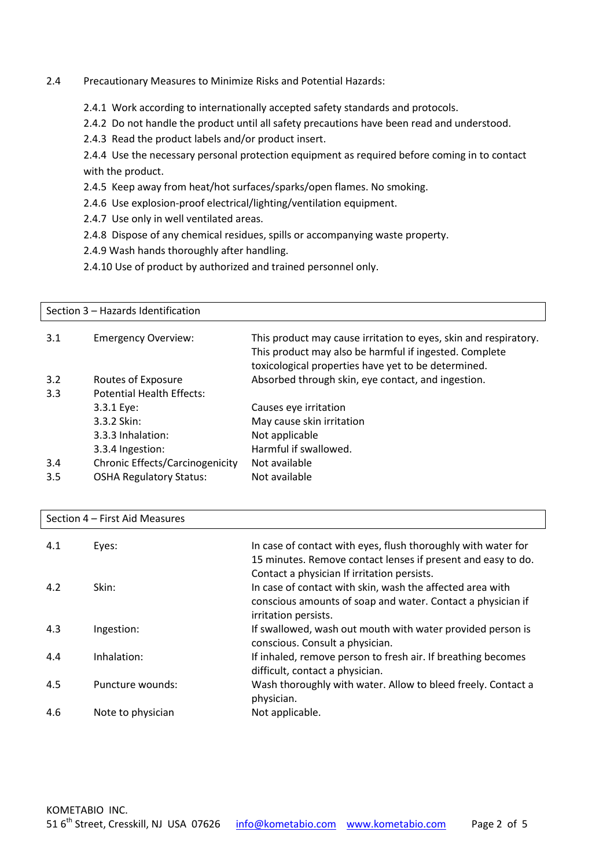#### 2.4 Precautionary Measures to Minimize Risks and Potential Hazards:

- 2.4.1 Work according to internationally accepted safety standards and protocols.
- 2.4.2 Do not handle the product until all safety precautions have been read and understood.
- 2.4.3 Read the product labels and/or product insert.

2.4.4 Use the necessary personal protection equipment as required before coming in to contact with the product.

- 2.4.5 Keep away from heat/hot surfaces/sparks/open flames. No smoking.
- 2.4.6 Use explosion-proof electrical/lighting/ventilation equipment.
- 2.4.7 Use only in well ventilated areas.
- 2.4.8 Dispose of any chemical residues, spills or accompanying waste property.
- 2.4.9 Wash hands thoroughly after handling.
- 2.4.10 Use of product by authorized and trained personnel only.

|     | Section 3 - Hazards Identification     |                                                                                                                                                                                   |  |  |
|-----|----------------------------------------|-----------------------------------------------------------------------------------------------------------------------------------------------------------------------------------|--|--|
| 3.1 | <b>Emergency Overview:</b>             | This product may cause irritation to eyes, skin and respiratory.<br>This product may also be harmful if ingested. Complete<br>toxicological properties have yet to be determined. |  |  |
| 3.2 | Routes of Exposure                     | Absorbed through skin, eye contact, and ingestion.                                                                                                                                |  |  |
| 3.3 | <b>Potential Health Effects:</b>       |                                                                                                                                                                                   |  |  |
|     | 3.3.1 Eye:                             | Causes eye irritation                                                                                                                                                             |  |  |
|     | 3.3.2 Skin:                            | May cause skin irritation                                                                                                                                                         |  |  |
|     | 3.3.3 Inhalation:                      | Not applicable                                                                                                                                                                    |  |  |
|     | 3.3.4 Ingestion:                       | Harmful if swallowed.                                                                                                                                                             |  |  |
| 3.4 | <b>Chronic Effects/Carcinogenicity</b> | Not available                                                                                                                                                                     |  |  |
| 3.5 | <b>OSHA Regulatory Status:</b>         | Not available                                                                                                                                                                     |  |  |

#### Section 4 – First Aid Measures

| 4.1 | Eyes:             | In case of contact with eyes, flush thoroughly with water for<br>15 minutes. Remove contact lenses if present and easy to do.                                                                   |
|-----|-------------------|-------------------------------------------------------------------------------------------------------------------------------------------------------------------------------------------------|
| 4.2 | Skin:             | Contact a physician If irritation persists.<br>In case of contact with skin, wash the affected area with<br>conscious amounts of soap and water. Contact a physician if<br>irritation persists. |
| 4.3 | Ingestion:        | If swallowed, wash out mouth with water provided person is<br>conscious. Consult a physician.                                                                                                   |
| 4.4 | Inhalation:       | If inhaled, remove person to fresh air. If breathing becomes<br>difficult, contact a physician.                                                                                                 |
| 4.5 | Puncture wounds:  | Wash thoroughly with water. Allow to bleed freely. Contact a<br>physician.                                                                                                                      |
| 4.6 | Note to physician | Not applicable.                                                                                                                                                                                 |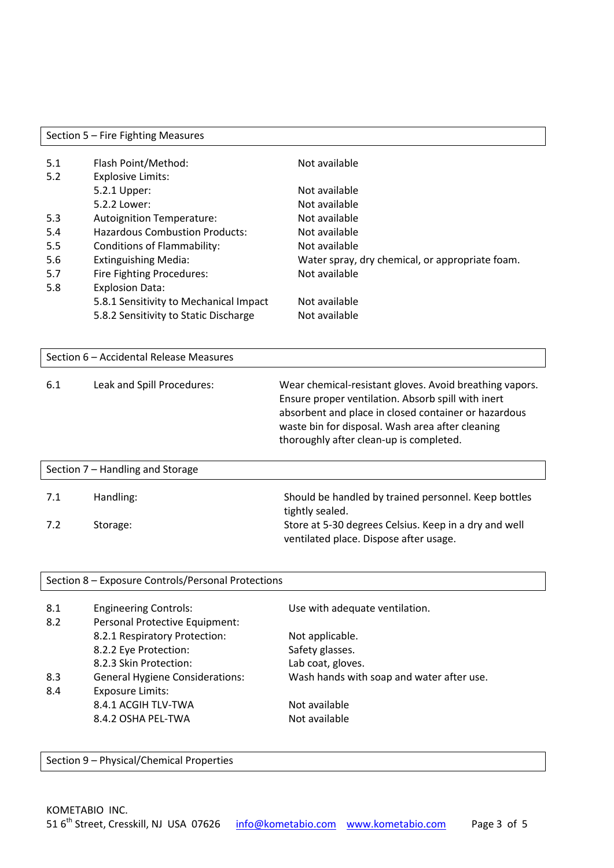|            | Section 5 - Fire Fighting Measures                 |                                                                                                                                                                                                                                                                      |
|------------|----------------------------------------------------|----------------------------------------------------------------------------------------------------------------------------------------------------------------------------------------------------------------------------------------------------------------------|
| 5.1<br>5.2 | Flash Point/Method:<br><b>Explosive Limits:</b>    | Not available                                                                                                                                                                                                                                                        |
|            | 5.2.1 Upper:                                       | Not available                                                                                                                                                                                                                                                        |
|            | 5.2.2 Lower:                                       | Not available                                                                                                                                                                                                                                                        |
| 5.3        | Autoignition Temperature:                          | Not available                                                                                                                                                                                                                                                        |
| 5.4        | <b>Hazardous Combustion Products:</b>              | Not available                                                                                                                                                                                                                                                        |
| 5.5        | <b>Conditions of Flammability:</b>                 | Not available                                                                                                                                                                                                                                                        |
| 5.6        | <b>Extinguishing Media:</b>                        | Water spray, dry chemical, or appropriate foam.                                                                                                                                                                                                                      |
| 5.7        | Fire Fighting Procedures:                          | Not available                                                                                                                                                                                                                                                        |
| 5.8        | <b>Explosion Data:</b>                             |                                                                                                                                                                                                                                                                      |
|            | 5.8.1 Sensitivity to Mechanical Impact             | Not available                                                                                                                                                                                                                                                        |
|            | 5.8.2 Sensitivity to Static Discharge              | Not available                                                                                                                                                                                                                                                        |
|            |                                                    |                                                                                                                                                                                                                                                                      |
|            | Section 6 - Accidental Release Measures            |                                                                                                                                                                                                                                                                      |
| 6.1        | Leak and Spill Procedures:                         | Wear chemical-resistant gloves. Avoid breathing vapors.<br>Ensure proper ventilation. Absorb spill with inert<br>absorbent and place in closed container or hazardous<br>waste bin for disposal. Wash area after cleaning<br>thoroughly after clean-up is completed. |
|            | Section 7 - Handling and Storage                   |                                                                                                                                                                                                                                                                      |
| 7.1        | Handling:                                          | Should be handled by trained personnel. Keep bottles<br>tightly sealed.                                                                                                                                                                                              |
| 7.2        | Storage:                                           | Store at 5-30 degrees Celsius. Keep in a dry and well<br>ventilated place. Dispose after usage.                                                                                                                                                                      |
|            |                                                    |                                                                                                                                                                                                                                                                      |
|            | Section 8 - Exposure Controls/Personal Protections |                                                                                                                                                                                                                                                                      |
| 8.1        | <b>Engineering Controls:</b>                       | Use with adequate ventilation.                                                                                                                                                                                                                                       |

| 8.2 | Personal Protective Equipment:         |                                           |
|-----|----------------------------------------|-------------------------------------------|
|     | 8.2.1 Respiratory Protection:          | Not applicable.                           |
|     | 8.2.2 Eye Protection:                  | Safety glasses.                           |
|     | 8.2.3 Skin Protection:                 | Lab coat, gloves.                         |
| 8.3 | <b>General Hygiene Considerations:</b> | Wash hands with soap and water after use. |
| 8.4 | <b>Exposure Limits:</b>                |                                           |
|     | 8.4.1 ACGIH TLV-TWA                    | Not available                             |
|     | 8.4.2 OSHA PEL-TWA                     | Not available                             |
|     |                                        |                                           |

Section 9 – Physical/Chemical Properties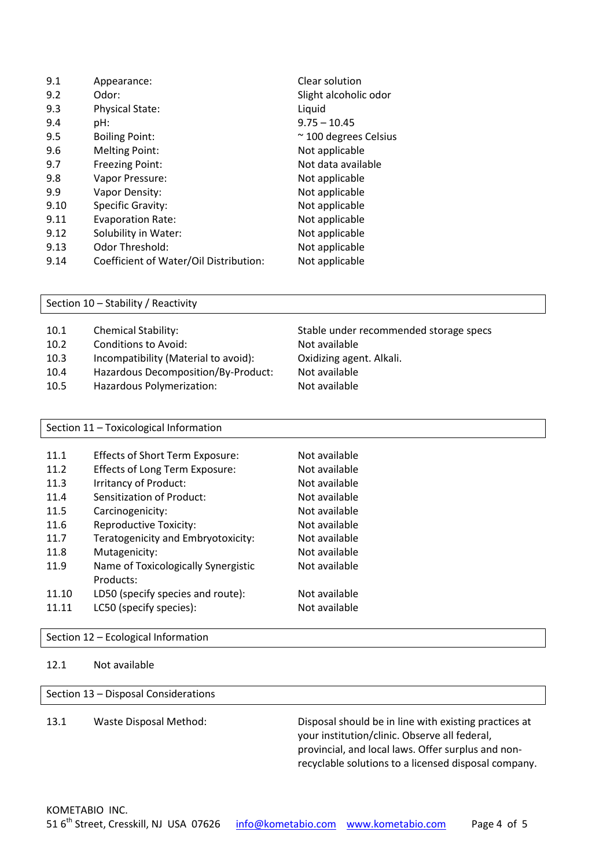| 9.1  | Appearance:                            | Clear solution                |
|------|----------------------------------------|-------------------------------|
| 9.2  | Odor:                                  | Slight alcoholic odor         |
| 9.3  | <b>Physical State:</b>                 | Liquid                        |
| 9.4  | pH:                                    | $9.75 - 10.45$                |
| 9.5  | <b>Boiling Point:</b>                  | $\approx$ 100 degrees Celsius |
| 9.6  | <b>Melting Point:</b>                  | Not applicable                |
| 9.7  | <b>Freezing Point:</b>                 | Not data available            |
| 9.8  | Vapor Pressure:                        | Not applicable                |
| 9.9  | Vapor Density:                         | Not applicable                |
| 9.10 | <b>Specific Gravity:</b>               | Not applicable                |
| 9.11 | <b>Evaporation Rate:</b>               | Not applicable                |
| 9.12 | Solubility in Water:                   | Not applicable                |
| 9.13 | Odor Threshold:                        | Not applicable                |
| 9.14 | Coefficient of Water/Oil Distribution: | Not applicable                |
|      |                                        |                               |

### Section 10 – Stability / Reactivity

| 10.1 | <b>Chemical Stability:</b>           | Stable under recommended storage specs |
|------|--------------------------------------|----------------------------------------|
| 10.2 | Conditions to Avoid:                 | Not available                          |
| 10.3 | Incompatibility (Material to avoid): | Oxidizing agent. Alkali.               |
| 10.4 | Hazardous Decomposition/By-Product:  | Not available                          |
| 10.5 | Hazardous Polymerization:            | Not available                          |

# Section 11 – Toxicological Information

| <b>Effects of Short Term Exposure:</b> | Not available |
|----------------------------------------|---------------|
| <b>Effects of Long Term Exposure:</b>  | Not available |
| Irritancy of Product:                  | Not available |
| Sensitization of Product:              | Not available |
| Carcinogenicity:                       | Not available |
| <b>Reproductive Toxicity:</b>          | Not available |
| Teratogenicity and Embryotoxicity:     | Not available |
| Mutagenicity:                          | Not available |
| Name of Toxicologically Synergistic    | Not available |
| Products:                              |               |
| LD50 (specify species and route):      | Not available |
| LC50 (specify species):                | Not available |
|                                        |               |

#### Section 12 – Ecological Information

#### 12.1 Not available

## Section 13 – Disposal Considerations

13.1 Waste Disposal Method: Disposal should be in line with existing practices at your institution/clinic. Observe all federal, provincial, and local laws. Offer surplus and nonrecyclable solutions to a licensed disposal company.